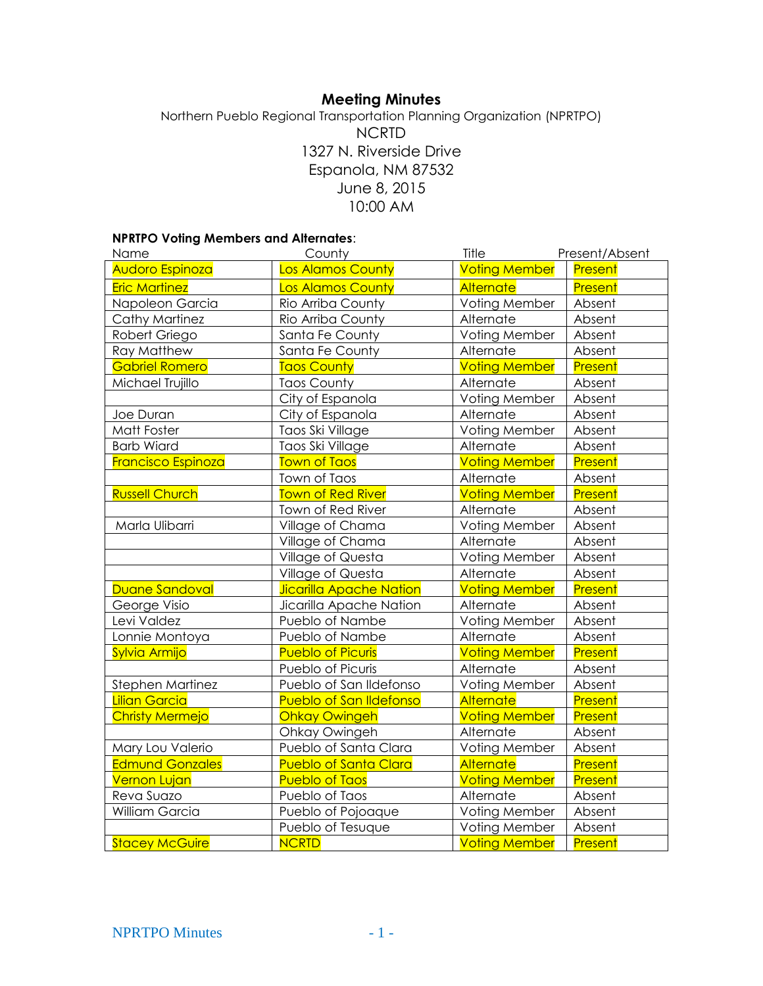# **Meeting Minutes**

Northern Pueblo Regional Transportation Planning Organization (NPRTPO) NCRTD 1327 N. Riverside Drive Espanola, NM 87532 June 8, 2015 10:00 AM

## **NPRTPO Voting Members and Alternates**:

| Name                      | County                         | Title                | Present/Absent |
|---------------------------|--------------------------------|----------------------|----------------|
| Audoro Espinoza           | Los Alamos County              | <b>Voting Member</b> | Present        |
| <b>Eric Martinez</b>      | Los Alamos County              | Alternate            | Present        |
| Napoleon Garcia           | Rio Arriba County              | Voting Member        | Absent         |
| <b>Cathy Martinez</b>     | Rio Arriba County              | Alternate            | Absent         |
| Robert Griego             | Santa Fe County                | Voting Member        | Absent         |
| <b>Ray Matthew</b>        | Santa Fe County                | Alternate            | Absent         |
| <b>Gabriel Romero</b>     | <b>Taos County</b>             | <b>Voting Member</b> | Present        |
| Michael Trujillo          | <b>Taos County</b>             | Alternate            | Absent         |
|                           | City of Espanola               | Voting Member        | Absent         |
| Joe Duran                 | City of Espanola               | Alternate            | Absent         |
| Matt Foster               | Taos Ski Village               | Voting Member        | Absent         |
| <b>Barb Wiard</b>         | Taos Ski Village               | Alternate            | Absent         |
| <b>Francisco Espinoza</b> | <b>Town of Taos</b>            | <b>Voting Member</b> | <b>Present</b> |
|                           | Town of Taos                   | Alternate            | Absent         |
| <b>Russell Church</b>     | <b>Town of Red River</b>       | <b>Voting Member</b> | Present        |
|                           | Town of Red River              | Alternate            | Absent         |
| Marla Ulibarri            | Village of Chama               | Voting Member        | Absent         |
|                           | Village of Chama               | Alternate            | Absent         |
|                           | Village of Questa              | Voting Member        | Absent         |
|                           | Village of Questa              | Alternate            | Absent         |
| Duane Sandoval            | <b>Jicarilla Apache Nation</b> | <b>Voting Member</b> | Present        |
| George Visio              | Jicarilla Apache Nation        | Alternate            | Absent         |
| Levi Valdez               | Pueblo of Nambe                | Voting Member        | Absent         |
| Lonnie Montoya            | Pueblo of Nambe                | Alternate            | Absent         |
| Sylvia Armijo             | <b>Pueblo of Picuris</b>       | <b>Voting Member</b> | Present        |
|                           | Pueblo of Picuris              | Alternate            | Absent         |
| Stephen Martinez          | Pueblo of San Ildefonso        | Voting Member        | Absent         |
| <b>Lilian Garcia</b>      | <b>Pueblo of San Ildefonso</b> | Alternate            | Present        |
| <b>Christy Mermejo</b>    | <b>Ohkay Owingeh</b>           | <b>Voting Member</b> | Present        |
|                           | Ohkay Owingeh                  | Alternate            | Absent         |
| Mary Lou Valerio          | Pueblo of Santa Clara          | Voting Member        | Absent         |
| <b>Edmund Gonzales</b>    | <b>Pueblo of Santa Clara</b>   | <b>Alternate</b>     | Present        |
| <b>Vernon Lujan</b>       | <b>Pueblo of Taos</b>          | <b>Voting Member</b> | Present        |
| Reva Suazo                | Pueblo of Taos                 | Alternate            | Absent         |
| William Garcia            | Pueblo of Pojoaque             | Voting Member        | Absent         |
|                           | Pueblo of Tesuque              | Voting Member        | Absent         |
| <b>Stacey McGuire</b>     | <b>NCRTD</b>                   | <b>Voting Member</b> | Present        |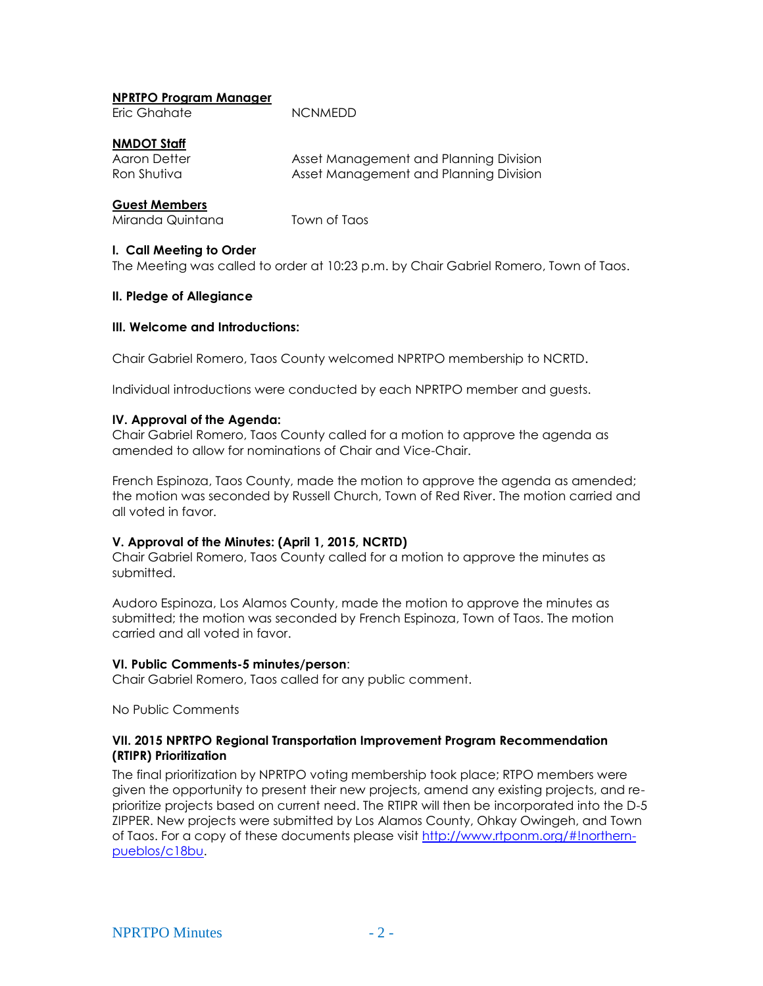#### **NPRTPO Program Manager**

Eric Ghahate NCNMEDD

## **NMDOT Staff**

Aaron Detter **Asset Management and Planning Division** Ron Shutiva **Asset Management and Planning Division** 

# **Guest Members**

Miranda Quintana Town of Taos

## **I. Call Meeting to Order**

The Meeting was called to order at 10:23 p.m. by Chair Gabriel Romero, Town of Taos.

#### **II. Pledge of Allegiance**

#### **III. Welcome and Introductions:**

Chair Gabriel Romero, Taos County welcomed NPRTPO membership to NCRTD.

Individual introductions were conducted by each NPRTPO member and guests.

#### **IV. Approval of the Agenda:**

Chair Gabriel Romero, Taos County called for a motion to approve the agenda as amended to allow for nominations of Chair and Vice-Chair.

French Espinoza, Taos County, made the motion to approve the agenda as amended; the motion was seconded by Russell Church, Town of Red River. The motion carried and all voted in favor.

#### **V. Approval of the Minutes: (April 1, 2015, NCRTD)**

Chair Gabriel Romero, Taos County called for a motion to approve the minutes as submitted.

Audoro Espinoza, Los Alamos County, made the motion to approve the minutes as submitted; the motion was seconded by French Espinoza, Town of Taos. The motion carried and all voted in favor.

#### **VI. Public Comments-5 minutes/person**:

Chair Gabriel Romero, Taos called for any public comment.

No Public Comments

#### **VII. 2015 NPRTPO Regional Transportation Improvement Program Recommendation (RTIPR) Prioritization**

The final prioritization by NPRTPO voting membership took place; RTPO members were given the opportunity to present their new projects, amend any existing projects, and reprioritize projects based on current need. The RTIPR will then be incorporated into the D-5 ZIPPER. New projects were submitted by Los Alamos County, Ohkay Owingeh, and Town of Taos. For a copy of these documents please visit [http://www.rtponm.org/#!northern](http://www.rtponm.org/#!northern-pueblos/c18bu)[pueblos/c18bu.](http://www.rtponm.org/#!northern-pueblos/c18bu)